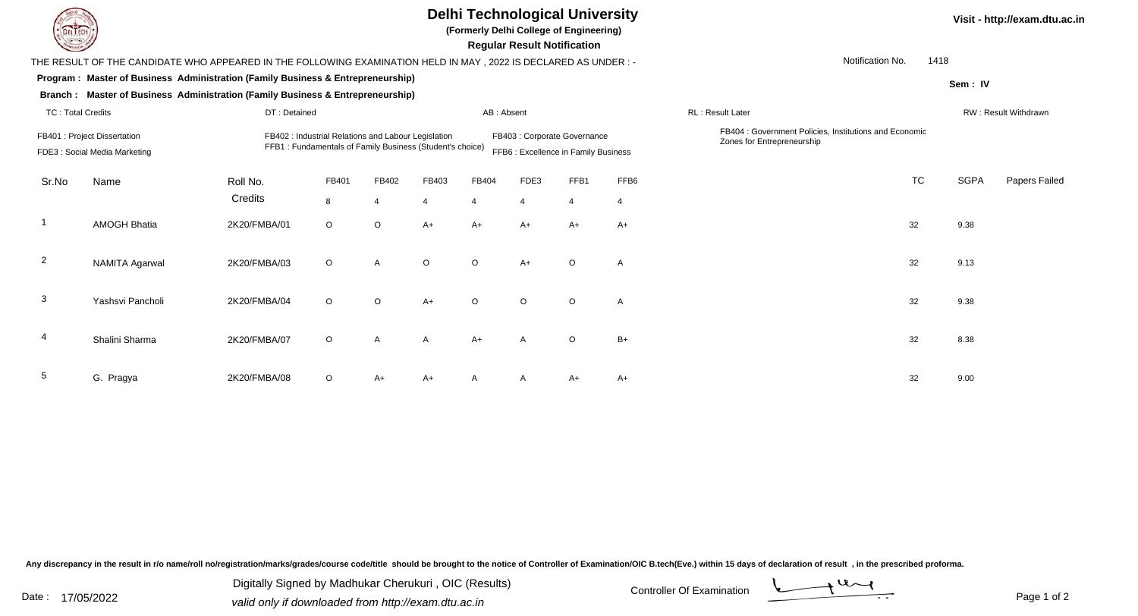| <b>DELIECH</b>                                                |                                                                                                                |                                                                                                                                                                                         |         |                         |            | <b>Delhi Technological University</b><br>(Formerly Delhi College of Engineering) | <b>Regular Result Notification</b> |                |                |                                                                                      |                  | Visit - http://exam.dtu.ac.in |               |  |
|---------------------------------------------------------------|----------------------------------------------------------------------------------------------------------------|-----------------------------------------------------------------------------------------------------------------------------------------------------------------------------------------|---------|-------------------------|------------|----------------------------------------------------------------------------------|------------------------------------|----------------|----------------|--------------------------------------------------------------------------------------|------------------|-------------------------------|---------------|--|
|                                                               | THE RESULT OF THE CANDIDATE WHO APPEARED IN THE FOLLOWING EXAMINATION HELD IN MAY, 2022 IS DECLARED AS UNDER:- |                                                                                                                                                                                         |         |                         |            |                                                                                  |                                    |                |                |                                                                                      | Notification No. | 1418                          |               |  |
|                                                               | Program : Master of Business Administration (Family Business & Entrepreneurship)                               |                                                                                                                                                                                         |         |                         |            |                                                                                  |                                    |                |                |                                                                                      |                  | Sem: IV                       |               |  |
|                                                               | Branch : Master of Business Administration (Family Business & Entrepreneurship)                                |                                                                                                                                                                                         |         |                         |            |                                                                                  |                                    |                |                |                                                                                      |                  |                               |               |  |
| <b>TC: Total Credits</b>                                      |                                                                                                                | DT: Detained                                                                                                                                                                            |         |                         | AB: Absent |                                                                                  |                                    |                |                | RL: Result Later                                                                     |                  | <b>RW: Result Withdrawn</b>   |               |  |
| FB401 : Project Dissertation<br>FDE3 : Social Media Marketing |                                                                                                                | FB402 : Industrial Relations and Labour Legislation<br>FB403 : Corporate Governance<br>FFB1: Fundamentals of Family Business (Student's choice)<br>FFB6 : Excellence in Family Business |         |                         |            |                                                                                  |                                    |                |                | FB404 : Government Policies, Institutions and Economic<br>Zones for Entrepreneurship |                  |                               |               |  |
| Sr.No                                                         | Name                                                                                                           | Roll No.                                                                                                                                                                                | FB401   | FB402                   | FB403      | FB404                                                                            | FDE3                               | FFB1           | FFB6           |                                                                                      | TC               | <b>SGPA</b>                   | Papers Failed |  |
|                                                               |                                                                                                                | Credits                                                                                                                                                                                 | 8       | $\overline{\mathbf{4}}$ | 4          | $\boldsymbol{\varDelta}$                                                         | $\Delta$                           | $\overline{4}$ | $\overline{4}$ |                                                                                      |                  |                               |               |  |
| -1                                                            | <b>AMOGH Bhatia</b>                                                                                            | 2K20/FMBA/01                                                                                                                                                                            | $\circ$ | $\circ$                 | $A+$       | $A+$                                                                             | $A+$                               | $A+$           | $A+$           |                                                                                      | 32               | 9.38                          |               |  |
| $\overline{2}$                                                | <b>NAMITA Agarwal</b>                                                                                          | 2K20/FMBA/03                                                                                                                                                                            | $\circ$ | A                       | $\circ$    | $\circ$                                                                          | $A+$                               | $\circ$        | $\mathsf{A}$   |                                                                                      | 32               | 9.13                          |               |  |
| 3                                                             | Yashsvi Pancholi                                                                                               | 2K20/FMBA/04                                                                                                                                                                            | $\circ$ | $\circ$                 | $A+$       | $\circ$                                                                          | $\circ$                            | $\circ$        | $\mathsf{A}$   |                                                                                      | 32               | 9.38                          |               |  |
| 4                                                             | Shalini Sharma                                                                                                 | 2K20/FMBA/07                                                                                                                                                                            | $\circ$ | A                       | A          | $A+$                                                                             | A                                  | $\circ$        | $B+$           |                                                                                      | 32               | 8.38                          |               |  |
| 5                                                             | G. Pragya                                                                                                      | 2K20/FMBA/08                                                                                                                                                                            | O       | A+                      | A+         |                                                                                  |                                    | $A+$           | A+             |                                                                                      | 32               | 9.00                          |               |  |

Any discrepancy in the result in r/o name/roll no/registration/marks/grades/course code/title should be brought to the notice of Controller of Examination/OIC B.tech(Eve.) within 15 days of declaration of result ,in the p

Digitally Signed by Madhukar Cherukuri, OIC (Results)<br>Date : 17/05/2022 valid only if downloaded from http://oxam.dtu.ac.in Digitally Signed by Madhukar Cherukuri , OIC (Results)valid only if downloaded from http://exam.dtu.ac.in